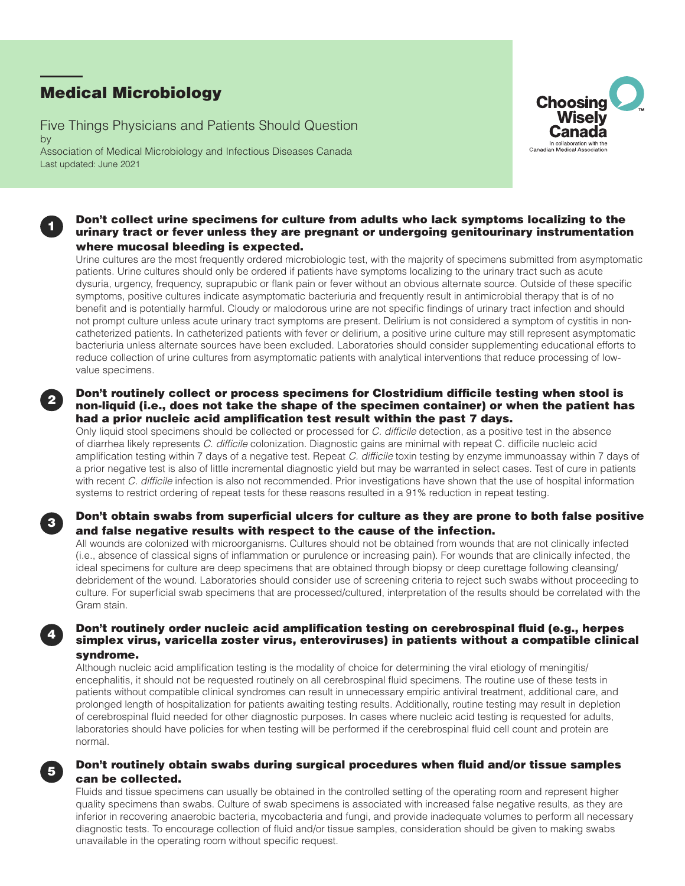# Medical Microbiology

1

2

3

4

5

Five Things Physicians and Patients Should Question by Association of Medical Microbiology and Infectious Diseases Canada Last updated: June 2021



#### Don't collect urine specimens for culture from adults who lack symptoms localizing to the urinary tract or fever unless they are pregnant or undergoing genitourinary instrumentation where mucosal bleeding is expected.

Urine cultures are the most frequently ordered microbiologic test, with the majority of specimens submitted from asymptomatic patients. Urine cultures should only be ordered if patients have symptoms localizing to the urinary tract such as acute dysuria, urgency, frequency, suprapubic or flank pain or fever without an obvious alternate source. Outside of these specific symptoms, positive cultures indicate asymptomatic bacteriuria and frequently result in antimicrobial therapy that is of no benefit and is potentially harmful. Cloudy or malodorous urine are not specific findings of urinary tract infection and should not prompt culture unless acute urinary tract symptoms are present. Delirium is not considered a symptom of cystitis in noncatheterized patients. In catheterized patients with fever or delirium, a positive urine culture may still represent asymptomatic bacteriuria unless alternate sources have been excluded. Laboratories should consider supplementing educational efforts to reduce collection of urine cultures from asymptomatic patients with analytical interventions that reduce processing of lowvalue specimens.

## Don't routinely collect or process specimens for Clostridium difficile testing when stool is non-liquid (i.e., does not take the shape of the specimen container) or when the patient has had a prior nucleic acid amplification test result within the past 7 days.

Only liquid stool specimens should be collected or processed for *C. difficile* detection, as a positive test in the absence of diarrhea likely represents *C. difficile* colonization. Diagnostic gains are minimal with repeat C. difficile nucleic acid amplification testing within 7 days of a negative test. Repeat *C. difficile* toxin testing by enzyme immunoassay within 7 days of a prior negative test is also of little incremental diagnostic yield but may be warranted in select cases. Test of cure in patients with recent *C. difficile* infection is also not recommended. Prior investigations have shown that the use of hospital information systems to restrict ordering of repeat tests for these reasons resulted in a 91% reduction in repeat testing.

## Don't obtain swabs from superficial ulcers for culture as they are prone to both false positive and false negative results with respect to the cause of the infection.

All wounds are colonized with microorganisms. Cultures should not be obtained from wounds that are not clinically infected (i.e., absence of classical signs of inflammation or purulence or increasing pain). For wounds that are clinically infected, the ideal specimens for culture are deep specimens that are obtained through biopsy or deep curettage following cleansing/ debridement of the wound. Laboratories should consider use of screening criteria to reject such swabs without proceeding to culture. For superficial swab specimens that are processed/cultured, interpretation of the results should be correlated with the Gram stain.

## Don't routinely order nucleic acid amplification testing on cerebrospinal fluid (e.g., herpes simplex virus, varicella zoster virus, enteroviruses) in patients without a compatible clinical syndrome.

Although nucleic acid amplification testing is the modality of choice for determining the viral etiology of meningitis/ encephalitis, it should not be requested routinely on all cerebrospinal fluid specimens. The routine use of these tests in patients without compatible clinical syndromes can result in unnecessary empiric antiviral treatment, additional care, and prolonged length of hospitalization for patients awaiting testing results. Additionally, routine testing may result in depletion of cerebrospinal fluid needed for other diagnostic purposes. In cases where nucleic acid testing is requested for adults, laboratories should have policies for when testing will be performed if the cerebrospinal fluid cell count and protein are normal.

## Don't routinely obtain swabs during surgical procedures when fluid and/or tissue samples can be collected.

Fluids and tissue specimens can usually be obtained in the controlled setting of the operating room and represent higher quality specimens than swabs. Culture of swab specimens is associated with increased false negative results, as they are inferior in recovering anaerobic bacteria, mycobacteria and fungi, and provide inadequate volumes to perform all necessary diagnostic tests. To encourage collection of fluid and/or tissue samples, consideration should be given to making swabs unavailable in the operating room without specific request.